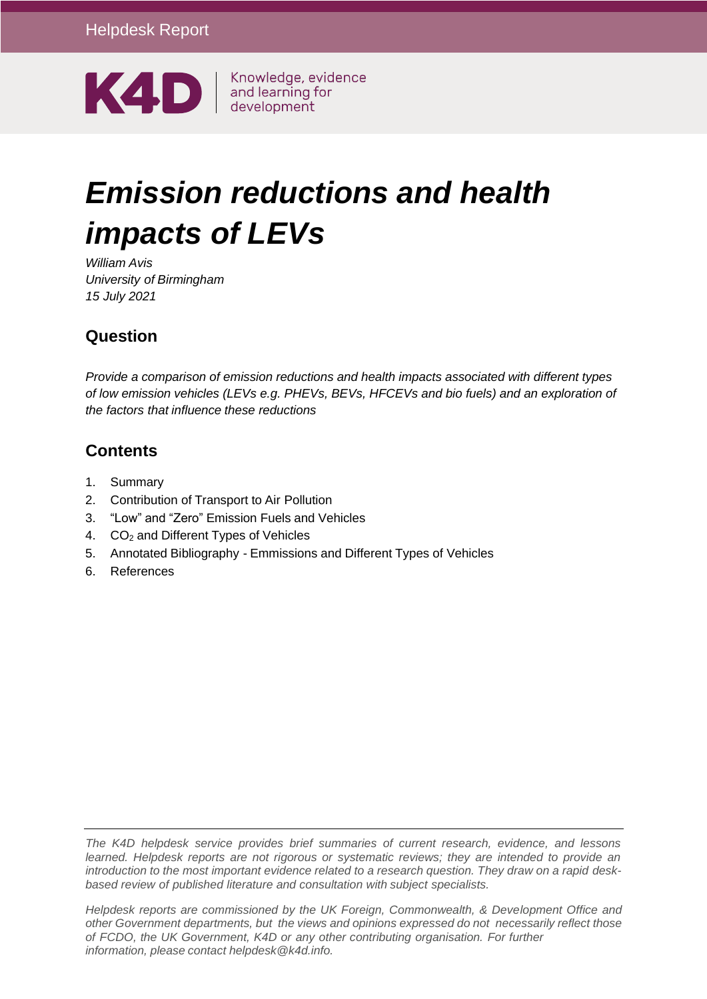

# *Emission reductions and health impacts of LEVs*

*William Avis University of Birmingham 15 July 2021*

# **Question**

*Provide a comparison of emission reductions and health impacts associated with different types of low emission vehicles (LEVs e.g. PHEVs, BEVs, HFCEVs and bio fuels) and an exploration of the factors that influence these reductions*

# **Contents**

- 1. [Summary](#page-1-0)
- 2. [Contribution](#page-3-0) of Transport to Air Pollution
- 3. "Low" and "Zero" [Emission Fuels](#page-5-0) and Vehicles
- 4. CO<sup>2</sup> and Different Types of [Vehicles](#page-9-0)
- 5. Annotated [Bibliography](#page-12-0) Emmissions and Different Types of Vehicles
- 6. [References](#page-20-0)

*The K4D helpdesk service provides brief summaries of current research, evidence, and lessons learned. Helpdesk reports are not rigorous or systematic reviews; they are intended to provide an* introduction to the most important evidence related to a research question. They draw on a rapid desk*based review of published literature and consultation with subject specialists.*

*information, please contact [helpdesk@k4d.info.](mailto:helpdesk@k4d.info) Helpdesk reports are commissioned by the UK Foreign, Commonwealth, & Development Office and other Government departments, but the views and opinions expressed do not necessarily reflect those of FCDO, the UK Government, K4D or any other contributing organisation. For further*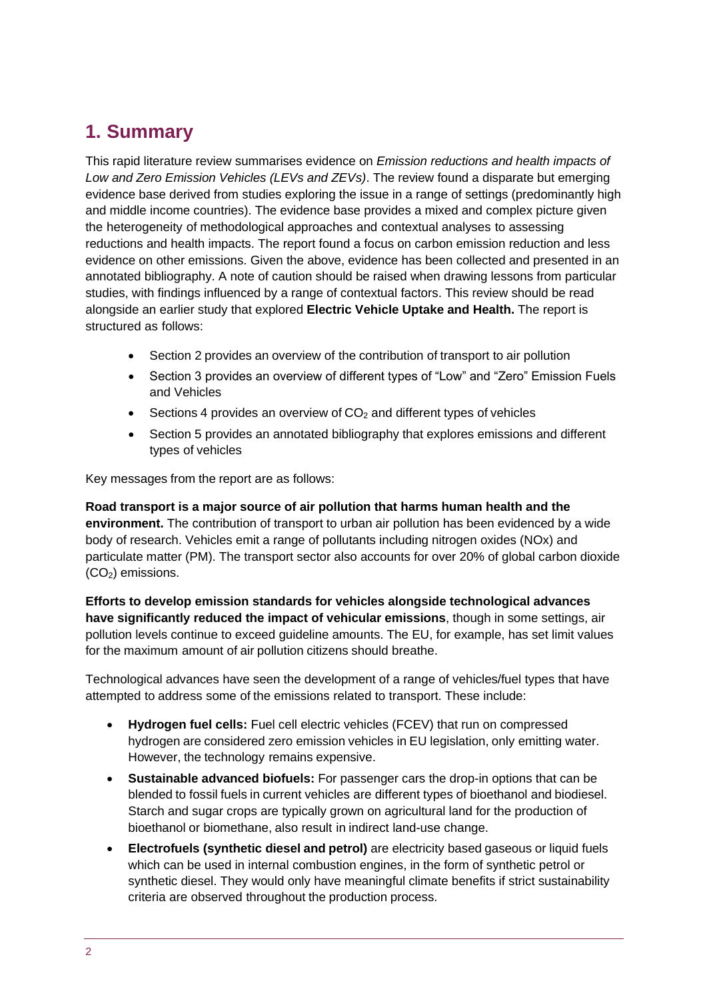# <span id="page-1-0"></span>**1. Summary**

This rapid literature review summarises evidence on *Emission reductions and health impacts of Low and Zero Emission Vehicles (LEVs and ZEVs)*. The review found a disparate but emerging evidence base derived from studies exploring the issue in a range of settings (predominantly high and middle income countries). The evidence base provides a mixed and complex picture given the heterogeneity of methodological approaches and contextual analyses to assessing reductions and health impacts. The report found a focus on carbon emission reduction and less evidence on other emissions. Given the above, evidence has been collected and presented in an annotated bibliography. A note of caution should be raised when drawing lessons from particular studies, with findings influenced by a range of contextual factors. This review should be read alongside an earlier study that explored **Electric Vehicle Uptake and Health.** The report is structured as follows:

- Section 2 provides an overview of the contribution of transport to air pollution
- Section 3 provides an overview of different types of "Low" and "Zero" Emission Fuels and Vehicles
- Sections 4 provides an overview of  $CO<sub>2</sub>$  and different types of vehicles
- Section 5 provides an annotated bibliography that explores emissions and different types of vehicles

Key messages from the report are as follows:

**Road transport is a major source of air pollution that harms human health and the environment.** The contribution of transport to urban air pollution has been evidenced by a wide body of research. Vehicles emit a range of pollutants including nitrogen oxides (NOx) and particulate matter (PM). The transport sector also accounts for over 20% of global carbon dioxide  $(CO<sub>2</sub>)$  emissions.

**Efforts to develop emission standards for vehicles alongside technological advances have significantly reduced the impact of vehicular emissions**, though in some settings, air pollution levels continue to exceed guideline amounts. The EU, for example, has set limit values for the maximum amount of air pollution citizens should breathe.

Technological advances have seen the development of a range of vehicles/fuel types that have attempted to address some of the emissions related to transport. These include:

- **Hydrogen fuel cells:** Fuel cell electric vehicles (FCEV) that run on compressed hydrogen are considered zero emission vehicles in EU legislation, only emitting water. However, the technology remains expensive.
- **Sustainable advanced biofuels:** For passenger cars the drop-in options that can be blended to fossil fuels in current vehicles are different types of bioethanol and biodiesel. Starch and sugar crops are typically grown on agricultural land for the production of bioethanol or biomethane, also result in indirect land-use change.
- **Electrofuels (synthetic diesel and petrol)** are electricity based gaseous or liquid fuels which can be used in internal combustion engines, in the form of synthetic petrol or synthetic diesel. They would only have meaningful climate benefits if strict sustainability criteria are observed throughout the production process.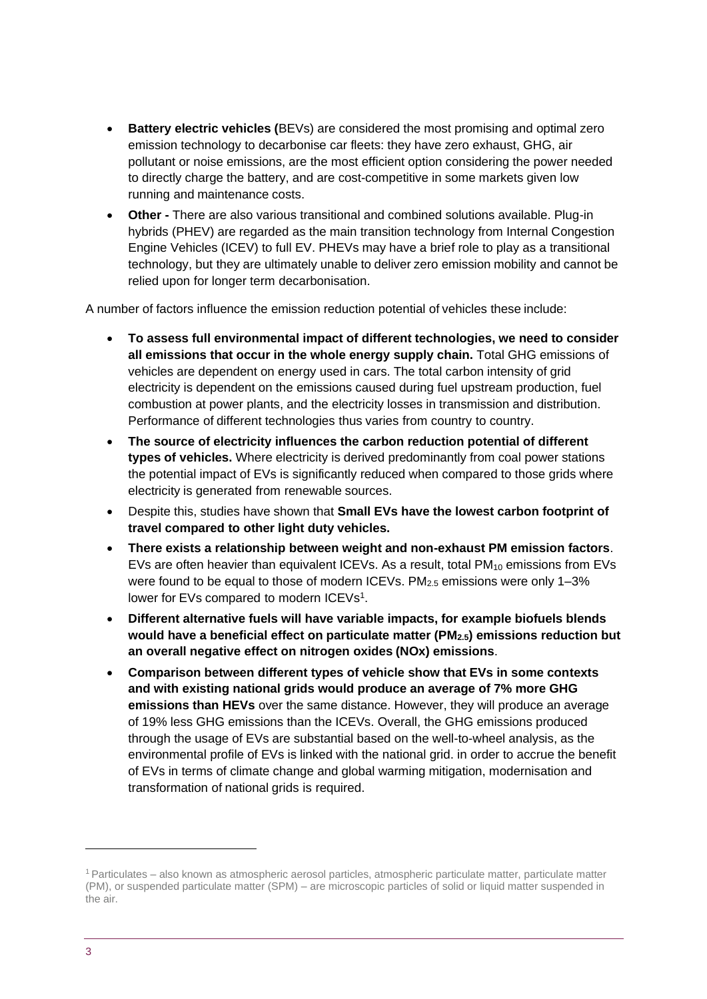- **Battery electric vehicles (BEVs) are considered the most promising and optimal zero** emission technology to decarbonise car fleets: they have zero exhaust, GHG, air pollutant or noise emissions, are the most efficient option considering the power needed to directly charge the battery, and are cost-competitive in some markets given low running and maintenance costs.
- **Other -** There are also various transitional and combined solutions available. Plug-in hybrids (PHEV) are regarded as the main transition technology from Internal Congestion Engine Vehicles (ICEV) to full EV. PHEVs may have a brief role to play as a transitional technology, but they are ultimately unable to deliver zero emission mobility and cannot be relied upon for longer term decarbonisation.

A number of factors influence the emission reduction potential of vehicles these include:

- **To assess full environmental impact of different technologies, we need to consider all emissions that occur in the whole energy supply chain.** Total GHG emissions of vehicles are dependent on energy used in cars. The total carbon intensity of grid electricity is dependent on the emissions caused during fuel upstream production, fuel combustion at power plants, and the electricity losses in transmission and distribution. Performance of different technologies thus varies from country to country.
- **The source of electricity influences the carbon reduction potential of different types of vehicles.** Where electricity is derived predominantly from coal power stations the potential impact of EVs is significantly reduced when compared to those grids where electricity is generated from renewable sources.
- Despite this, studies have shown that **Small EVs have the lowest carbon footprint of travel compared to other light duty vehicles.**
- **There exists a relationship between weight and non-exhaust PM emission factors**. EVs are often heavier than equivalent ICEVs. As a result, total  $PM_{10}$  emissions from EVs were found to be equal to those of modern ICEVs. PM<sub>2.5</sub> emissions were only 1-3% lower for EVs compared to modern ICEVs<sup>1</sup>.
- **Different alternative fuels will have variable impacts, for example biofuels blends would have a beneficial effect on particulate matter (PM2.5) emissions reduction but an overall negative effect on nitrogen oxides (NOx) emissions**.
- **Comparison between different types of vehicle show that EVs in some contexts and with existing national grids would produce an average of 7% more GHG emissions than HEVs** over the same distance. However, they will produce an average of 19% less GHG emissions than the ICEVs. Overall, the GHG emissions produced through the usage of EVs are substantial based on the well-to-wheel analysis, as the environmental profile of EVs is linked with the national grid. in order to accrue the benefit of EVs in terms of climate change and global warming mitigation, modernisation and transformation of national grids is required.

<sup>1</sup>Particulates – also known as atmospheric aerosol particles, atmospheric particulate matter, particulate matter (PM), or suspended particulate matter (SPM) – are microscopic particles of solid or liquid matter suspended in the air.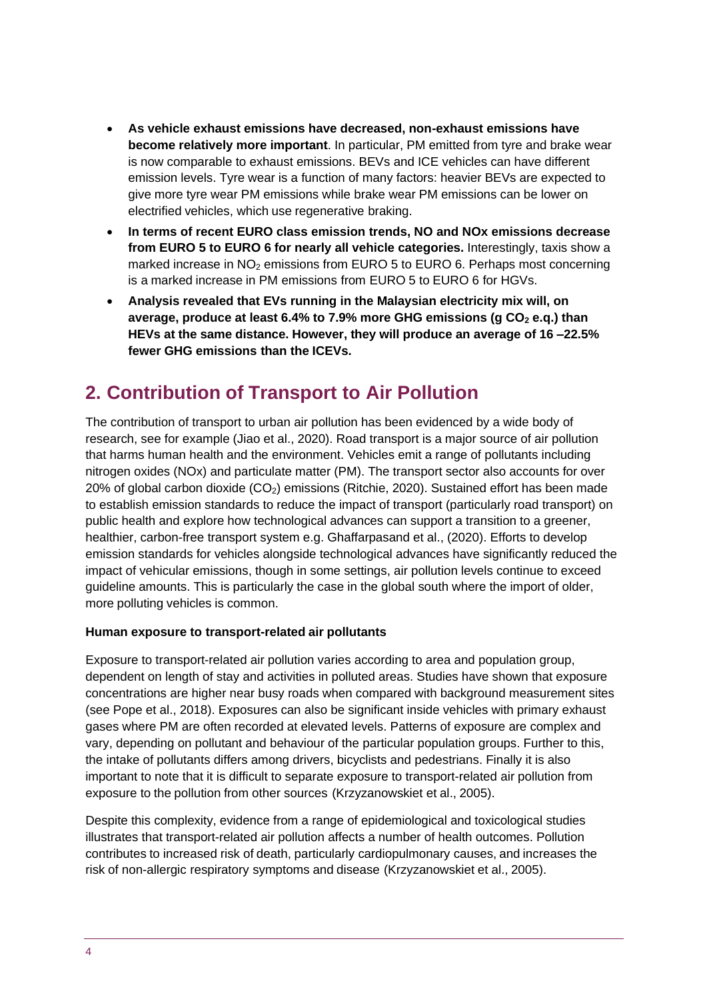- **As vehicle exhaust emissions have decreased, non-exhaust emissions have become relatively more important**. In particular, PM emitted from tyre and brake wear is now comparable to exhaust emissions. BEVs and ICE vehicles can have different emission levels. Tyre wear is a function of many factors: heavier BEVs are expected to give more tyre wear PM emissions while brake wear PM emissions can be lower on electrified vehicles, which use regenerative braking.
- **In terms of recent EURO class emission trends, NO and NOx emissions decrease from EURO 5 to EURO 6 for nearly all vehicle categories.** Interestingly, taxis show a marked increase in NO<sub>2</sub> emissions from EURO 5 to EURO 6. Perhaps most concerning is a marked increase in PM emissions from EURO 5 to EURO 6 for HGVs.
- **Analysis revealed that EVs running in the Malaysian electricity mix will, on average, produce at least 6.4% to 7.9% more GHG emissions (g CO<sup>2</sup> e.q.) than HEVs at the same distance. However, they will produce an average of 16 –22.5% fewer GHG emissions than the ICEVs.**

# <span id="page-3-0"></span>**2. Contribution of Transport to Air Pollution**

The contribution of transport to urban air pollution has been evidenced by a wide body of research, see for example (Jiao et al., 2020). Road transport is a major source of air pollution that harms human health and the environment. Vehicles emit a range of pollutants including nitrogen oxides (NOx) and particulate matter (PM). The transport sector also accounts for over 20% of global carbon dioxide  $(CO<sub>2</sub>)$  emissions (Ritchie, 2020). Sustained effort has been made to establish emission standards to reduce the impact of transport (particularly road transport) on public health and explore how technological advances can support a transition to a greener, healthier, carbon-free transport system e.g. Ghaffarpasand et al., (2020). Efforts to develop emission standards for vehicles alongside technological advances have significantly reduced the impact of vehicular emissions, though in some settings, air pollution levels continue to exceed guideline amounts. This is particularly the case in the global south where the import of older, more polluting vehicles is common.

#### **Human exposure to transport-related air pollutants**

Exposure to transport-related air pollution varies according to area and population group, dependent on length of stay and activities in polluted areas. Studies have shown that exposure concentrations are higher near busy roads when compared with background measurement sites (see Pope et al., 2018). Exposures can also be significant inside vehicles with primary exhaust gases where PM are often recorded at elevated levels. Patterns of exposure are complex and vary, depending on pollutant and behaviour of the particular population groups. Further to this, the intake of pollutants differs among drivers, bicyclists and pedestrians. Finally it is also important to note that it is difficult to separate exposure to transport-related air pollution from exposure to the pollution from other sources (Krzyzanowskiet et al., 2005).

Despite this complexity, evidence from a range of epidemiological and toxicological studies illustrates that transport-related air pollution affects a number of health outcomes. Pollution contributes to increased risk of death, particularly cardiopulmonary causes, and increases the risk of non-allergic respiratory symptoms and disease (Krzyzanowskiet et al., 2005).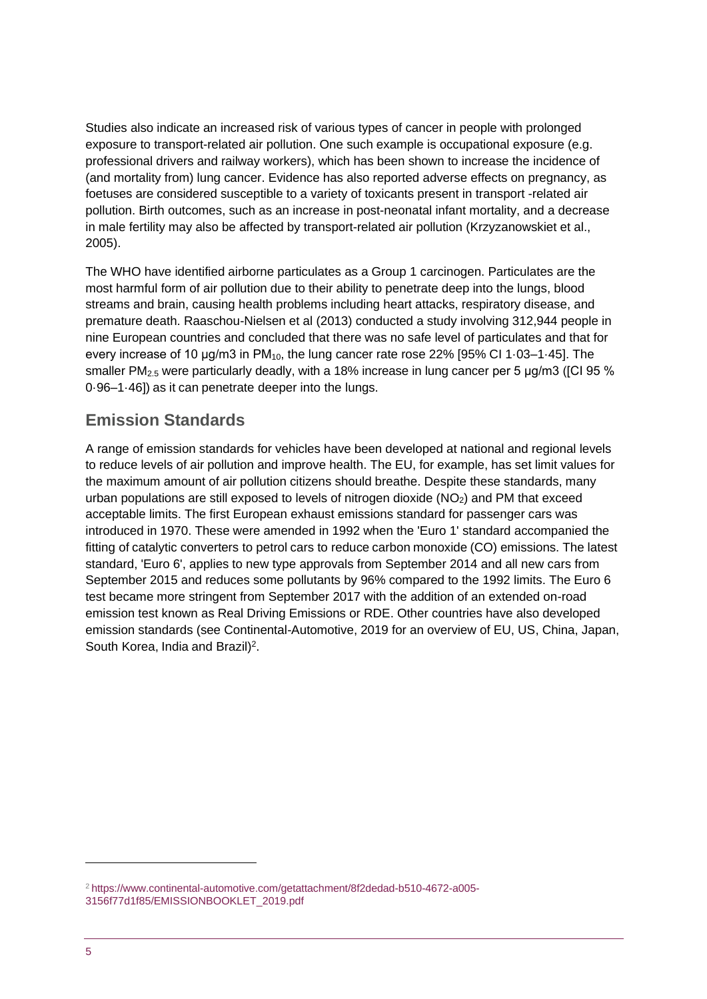Studies also indicate an increased risk of various types of cancer in people with prolonged exposure to transport-related air pollution. One such example is occupational exposure (e.g. professional drivers and railway workers), which has been shown to increase the incidence of (and mortality from) lung cancer. Evidence has also reported adverse effects on pregnancy, as foetuses are considered susceptible to a variety of toxicants present in transport -related air pollution. Birth outcomes, such as an increase in post-neonatal infant mortality, and a decrease in male fertility may also be affected by transport-related air pollution (Krzyzanowskiet et al., 2005).

The WHO have identified airborne particulates as a Group 1 carcinogen. Particulates are the most harmful form of air pollution due to their ability to penetrate deep into the lungs, blood streams and brain, causing health problems including heart attacks, respiratory disease, and premature death. Raaschou-Nielsen et al (2013) conducted a study involving 312,944 people in nine European countries and concluded that there was no safe level of particulates and that for every increase of 10 μg/m3 in PM10, the lung cancer rate rose 22% [95% CI 1·03–1·45]. The smaller PM<sub>2.5</sub> were particularly deadly, with a 18% increase in lung cancer per 5  $\mu$ g/m3 ([CI 95 % 0·96–1·46]) as it can penetrate deeper into the lungs.

### **Emission Standards**

A range of emission standards for vehicles have been developed at national and regional levels to reduce levels of air pollution and improve health. The EU, for example, has set limit values for the maximum amount of air pollution citizens should breathe. Despite these standards, many urban populations are still exposed to levels of nitrogen dioxide  $(NO<sub>2</sub>)$  and PM that exceed acceptable limits. The first European exhaust emissions standard for passenger cars was introduced in 1970. These were amended in 1992 when the 'Euro 1' standard accompanied the fitting of catalytic converters to petrol cars to reduce carbon monoxide (CO) emissions. The latest standard, 'Euro 6', applies to new type approvals from September 2014 and all new cars from September 2015 and reduces some pollutants by 96% compared to the 1992 limits. The Euro 6 test became more stringent from September 2017 with the addition of an extended on-road emission test known as Real Driving Emissions or RDE. Other countries have also developed emission standards (see Continental-Automotive, 2019 for an overview of EU, US, China, Japan, South Korea, India and Brazil)<sup>2</sup>.

<sup>2</sup> [https://www.continental-automotive.com/getattachment/8f2dedad-b510-4672-a005-](https://www.continental-automotive.com/getattachment/8f2dedad-b510-4672-a005-3156f77d1f85/EMISSIONBOOKLET_2019.pdf) [3156f77d1f85/EMISSIONBOOKLET\\_2019.pdf](https://www.continental-automotive.com/getattachment/8f2dedad-b510-4672-a005-3156f77d1f85/EMISSIONBOOKLET_2019.pdf)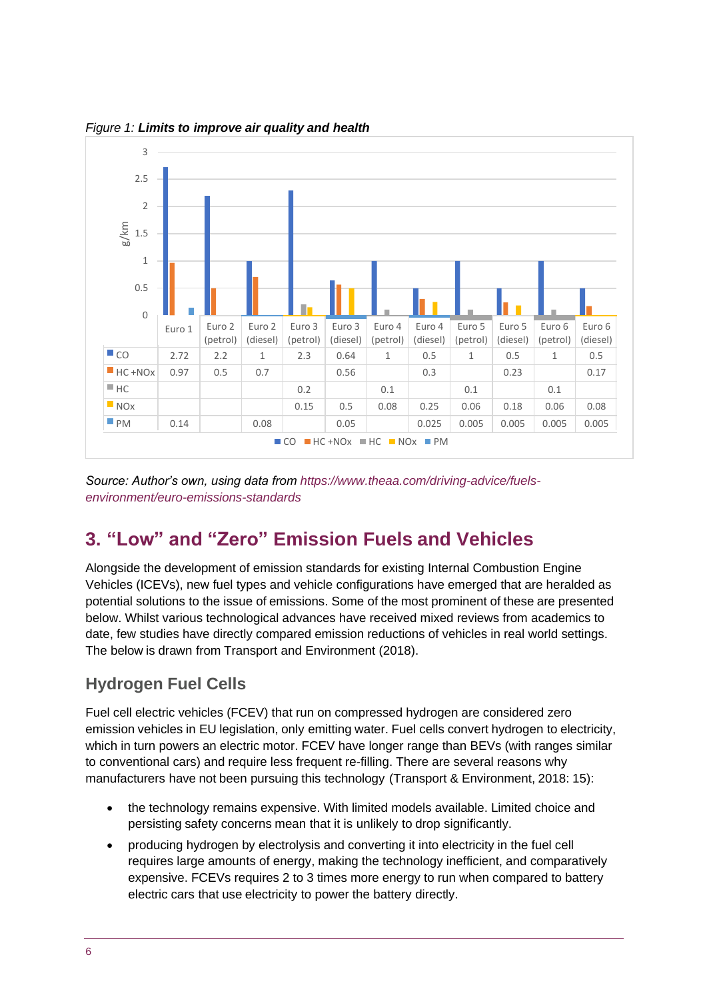

*Figure 1: Limits to improve air quality and health*

*Source: Author's own, using data from [https://www.theaa.com/driving-advice/fuels](https://www.theaa.com/driving-advice/fuels-environment/euro-emissions-standards)[environment/euro-emissions-standards](https://www.theaa.com/driving-advice/fuels-environment/euro-emissions-standards)*

# <span id="page-5-0"></span>**3. "Low" and "Zero" Emission Fuels and Vehicles**

Alongside the development of emission standards for existing Internal Combustion Engine Vehicles (ICEVs), new fuel types and vehicle configurations have emerged that are heralded as potential solutions to the issue of emissions. Some of the most prominent of these are presented below. Whilst various technological advances have received mixed reviews from academics to date, few studies have directly compared emission reductions of vehicles in real world settings. The below is drawn from Transport and Environment (2018).

### **Hydrogen Fuel Cells**

Fuel cell electric vehicles (FCEV) that run on compressed hydrogen are considered zero emission vehicles in EU legislation, only emitting water. Fuel cells convert hydrogen to electricity, which in turn powers an electric motor. FCEV have longer range than BEVs (with ranges similar to conventional cars) and require less frequent re-filling. There are several reasons why manufacturers have not been pursuing this technology (Transport & Environment, 2018: 15):

- the technology remains expensive. With limited models available. Limited choice and persisting safety concerns mean that it is unlikely to drop significantly.
- producing hydrogen by electrolysis and converting it into electricity in the fuel cell requires large amounts of energy, making the technology inefficient, and comparatively expensive. FCEVs requires 2 to 3 times more energy to run when compared to battery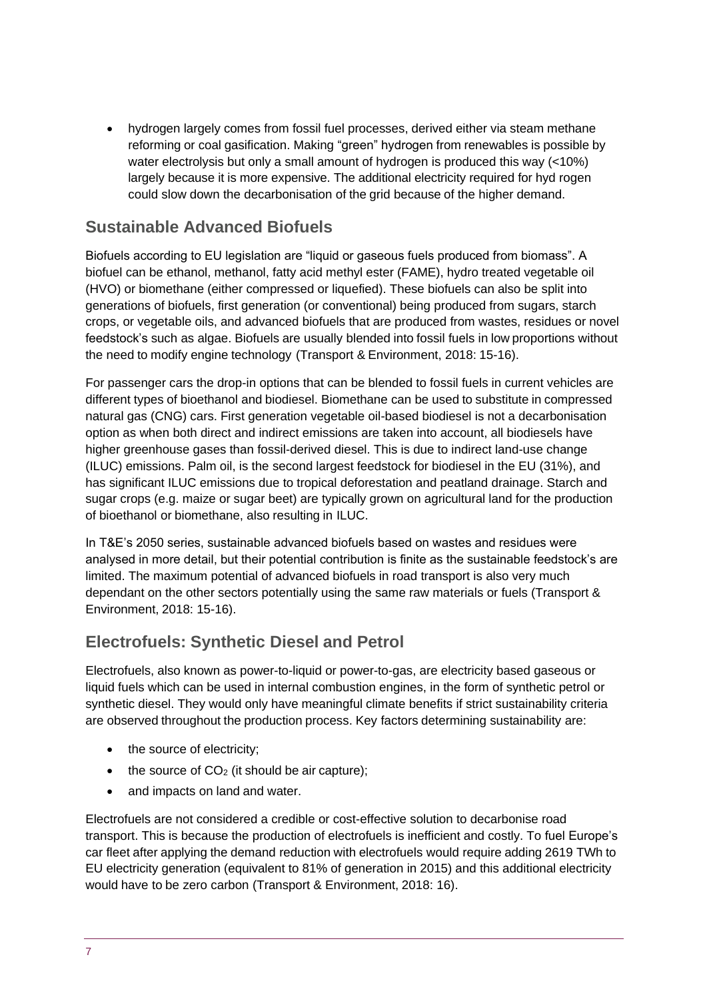• hydrogen largely comes from fossil fuel processes, derived either via steam methane reforming or coal gasification. Making "green" hydrogen from renewables is possible by water electrolysis but only a small amount of hydrogen is produced this way (<10%) largely because it is more expensive. The additional electricity required for hyd rogen could slow down the decarbonisation of the grid because of the higher demand.

### **Sustainable Advanced Biofuels**

Biofuels according to EU legislation are "liquid or gaseous fuels produced from biomass". A biofuel can be ethanol, methanol, fatty acid methyl ester (FAME), hydro treated vegetable oil (HVO) or biomethane (either compressed or liquefied). These biofuels can also be split into generations of biofuels, first generation (or conventional) being produced from sugars, starch crops, or vegetable oils, and advanced biofuels that are produced from wastes, residues or novel feedstock's such as algae. Biofuels are usually blended into fossil fuels in low proportions without the need to modify engine technology (Transport & Environment, 2018: 15-16).

For passenger cars the drop-in options that can be blended to fossil fuels in current vehicles are different types of bioethanol and biodiesel. Biomethane can be used to substitute in compressed natural gas (CNG) cars. First generation vegetable oil-based biodiesel is not a decarbonisation option as when both direct and indirect emissions are taken into account, all biodiesels have higher greenhouse gases than fossil-derived diesel. This is due to indirect land-use change (ILUC) emissions. Palm oil, is the second largest feedstock for biodiesel in the EU (31%), and has significant ILUC emissions due to tropical deforestation and peatland drainage. Starch and sugar crops (e.g. maize or sugar beet) are typically grown on agricultural land for the production of bioethanol or biomethane, also resulting in ILUC.

In T&E's 2050 series, sustainable advanced biofuels based on wastes and residues were analysed in more detail, but their potential contribution is finite as the sustainable feedstock's are limited. The maximum potential of advanced biofuels in road transport is also very much dependant on the other sectors potentially using the same raw materials or fuels (Transport & Environment, 2018: 15-16).

### **Electrofuels: Synthetic Diesel and Petrol**

Electrofuels, also known as power-to-liquid or power-to-gas, are electricity based gaseous or liquid fuels which can be used in internal combustion engines, in the form of synthetic petrol or synthetic diesel. They would only have meaningful climate benefits if strict sustainability criteria are observed throughout the production process. Key factors determining sustainability are:

- the source of electricity:
- the source of  $CO<sub>2</sub>$  (it should be air capture);
- and impacts on land and water.

Electrofuels are not considered a credible or cost-effective solution to decarbonise road transport. This is because the production of electrofuels is inefficient and costly. To fuel Europe's car fleet after applying the demand reduction with electrofuels would require adding 2619 TWh to EU electricity generation (equivalent to 81% of generation in 2015) and this additional electricity would have to be zero carbon (Transport & Environment, 2018: 16).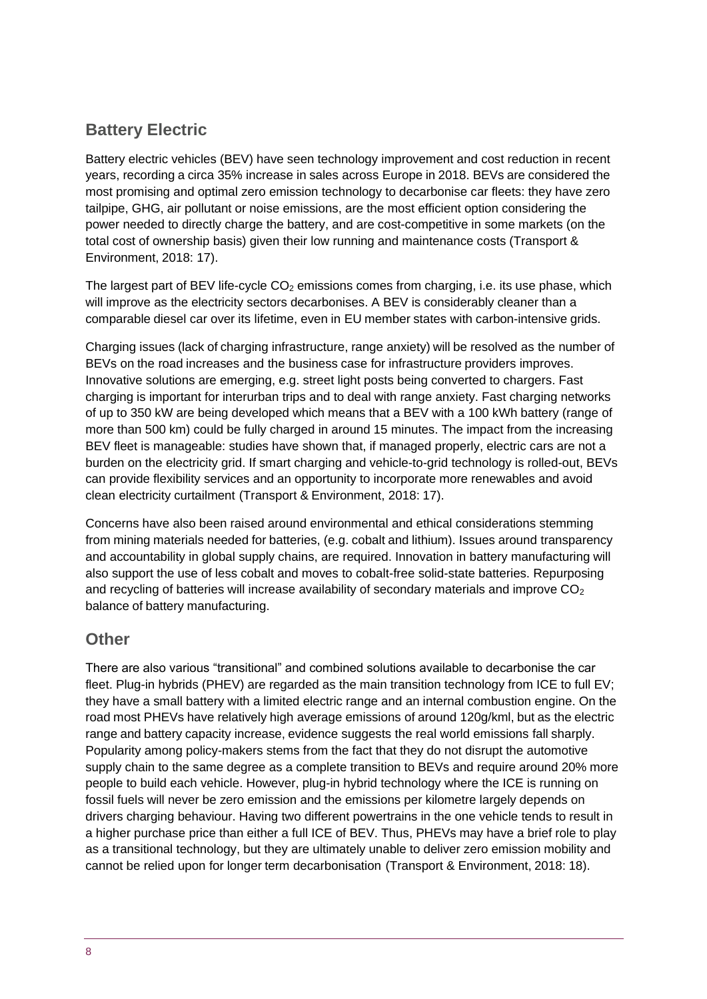# **Battery Electric**

Battery electric vehicles (BEV) have seen technology improvement and cost reduction in recent years, recording a circa 35% increase in sales across Europe in 2018. BEVs are considered the most promising and optimal zero emission technology to decarbonise car fleets: they have zero tailpipe, GHG, air pollutant or noise emissions, are the most efficient option considering the power needed to directly charge the battery, and are cost-competitive in some markets (on the total cost of ownership basis) given their low running and maintenance costs (Transport & Environment, 2018: 17).

The largest part of BEV life-cycle  $CO<sub>2</sub>$  emissions comes from charging, i.e. its use phase, which will improve as the electricity sectors decarbonises. A BEV is considerably cleaner than a comparable diesel car over its lifetime, even in EU member states with carbon-intensive grids.

Charging issues (lack of charging infrastructure, range anxiety) will be resolved as the number of BEVs on the road increases and the business case for infrastructure providers improves. Innovative solutions are emerging, e.g. street light posts being converted to chargers. Fast charging is important for interurban trips and to deal with range anxiety. Fast charging networks of up to 350 kW are being developed which means that a BEV with a 100 kWh battery (range of more than 500 km) could be fully charged in around 15 minutes. The impact from the increasing BEV fleet is manageable: studies have shown that, if managed properly, electric cars are not a burden on the electricity grid. If smart charging and vehicle-to-grid technology is rolled-out, BEVs can provide flexibility services and an opportunity to incorporate more renewables and avoid clean electricity curtailment (Transport & Environment, 2018: 17).

Concerns have also been raised around environmental and ethical considerations stemming from mining materials needed for batteries, (e.g. cobalt and lithium). Issues around transparency and accountability in global supply chains, are required. Innovation in battery manufacturing will also support the use of less cobalt and moves to cobalt-free solid-state batteries. Repurposing and recycling of batteries will increase availability of secondary materials and improve CO<sub>2</sub> balance of battery manufacturing.

### **Other**

There are also various "transitional" and combined solutions available to decarbonise the car fleet. Plug-in hybrids (PHEV) are regarded as the main transition technology from ICE to full EV; they have a small battery with a limited electric range and an internal combustion engine. On the road most PHEVs have relatively high average emissions of around 120g/kml, but as the electric range and battery capacity increase, evidence suggests the real world emissions fall sharply. Popularity among policy-makers stems from the fact that they do not disrupt the automotive supply chain to the same degree as a complete transition to BEVs and require around 20% more people to build each vehicle. However, plug-in hybrid technology where the ICE is running on fossil fuels will never be zero emission and the emissions per kilometre largely depends on drivers charging behaviour. Having two different powertrains in the one vehicle tends to result in a higher purchase price than either a full ICE of BEV. Thus, PHEVs may have a brief role to play as a transitional technology, but they are ultimately unable to deliver zero emission mobility and cannot be relied upon for longer term decarbonisation (Transport & Environment, 2018: 18).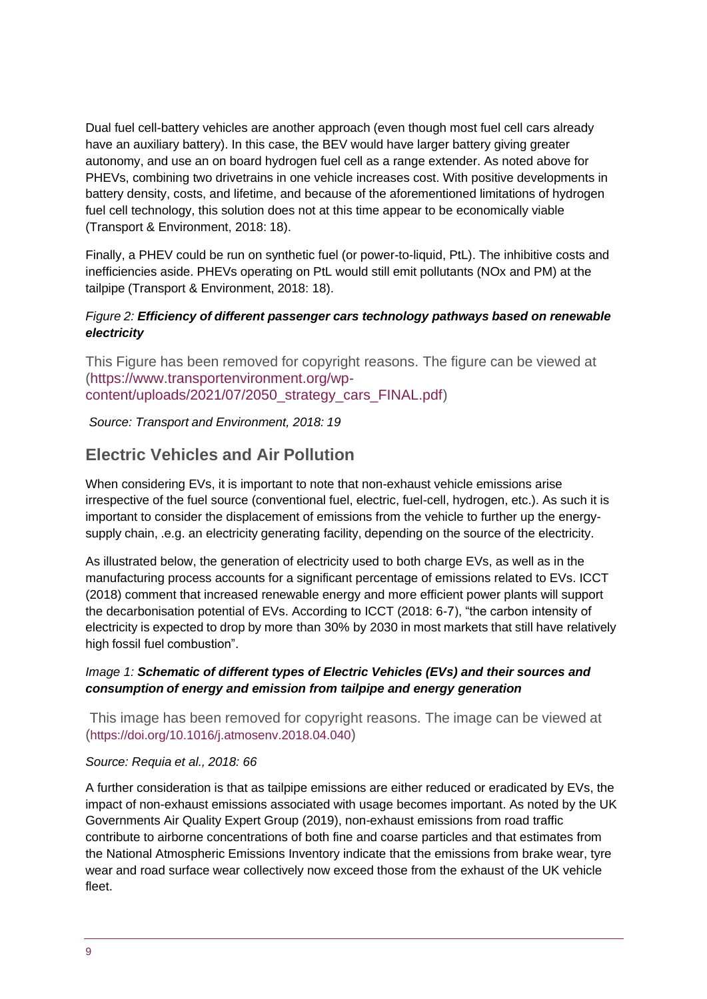Dual fuel cell-battery vehicles are another approach (even though most fuel cell cars already have an auxiliary battery). In this case, the BEV would have larger battery giving greater autonomy, and use an on board hydrogen fuel cell as a range extender. As noted above for PHEVs, combining two drivetrains in one vehicle increases cost. With positive developments in battery density, costs, and lifetime, and because of the aforementioned limitations of hydrogen fuel cell technology, this solution does not at this time appear to be economically viable (Transport & Environment, 2018: 18).

Finally, a PHEV could be run on synthetic fuel (or power-to-liquid, PtL). The inhibitive costs and inefficiencies aside. PHEVs operating on PtL would still emit pollutants (NOx and PM) at the tailpipe (Transport & Environment, 2018: 18).

#### *Figure 2: Efficiency of different passenger cars technology pathways based on renewable electricity*

This Figure has been removed for copyright reasons. The figure can be viewed at [\(https://www.transportenvironment.org/wp](https://www.transportenvironment.org/wp-content/uploads/2021/07/2050_strategy_cars_FINAL.pdf)[content/uploads/2021/07/2050\\_strategy\\_cars\\_FINAL.pdf\)](https://www.transportenvironment.org/wp-content/uploads/2021/07/2050_strategy_cars_FINAL.pdf)

*Source: Transport and Environment, 2018: 19*

### **Electric Vehicles and Air Pollution**

When considering EVs, it is important to note that non-exhaust vehicle emissions arise irrespective of the fuel source (conventional fuel, electric, fuel-cell, hydrogen, etc.). As such it is important to consider the displacement of emissions from the vehicle to further up the energysupply chain, .e.g. an electricity generating facility, depending on the source of the electricity.

As illustrated below, the generation of electricity used to both charge EVs, as well as in the manufacturing process accounts for a significant percentage of emissions related to EVs. ICCT (2018) comment that increased renewable energy and more efficient power plants will support the decarbonisation potential of EVs. According to ICCT (2018: 6-7), "the carbon intensity of electricity is expected to drop by more than 30% by 2030 in most markets that still have relatively high fossil fuel combustion".

#### *Image 1: Schematic of different types of Electric Vehicles (EVs) and their sources and consumption of energy and emission from tailpipe and energy generation*

This image has been removed for copyright reasons. The image can be viewed at (<https://doi.org/10.1016/j.atmosenv.2018.04.040>)

#### *Source: Requia et al., 2018: 66*

A further consideration is that as tailpipe emissions are either reduced or eradicated by EVs, the impact of non-exhaust emissions associated with usage becomes important. As noted by the UK Governments Air Quality Expert Group (2019), non-exhaust emissions from road traffic contribute to airborne concentrations of both fine and coarse particles and that estimates from the National Atmospheric Emissions Inventory indicate that the emissions from brake wear, tyre wear and road surface wear collectively now exceed those from the exhaust of the UK vehicle fleet.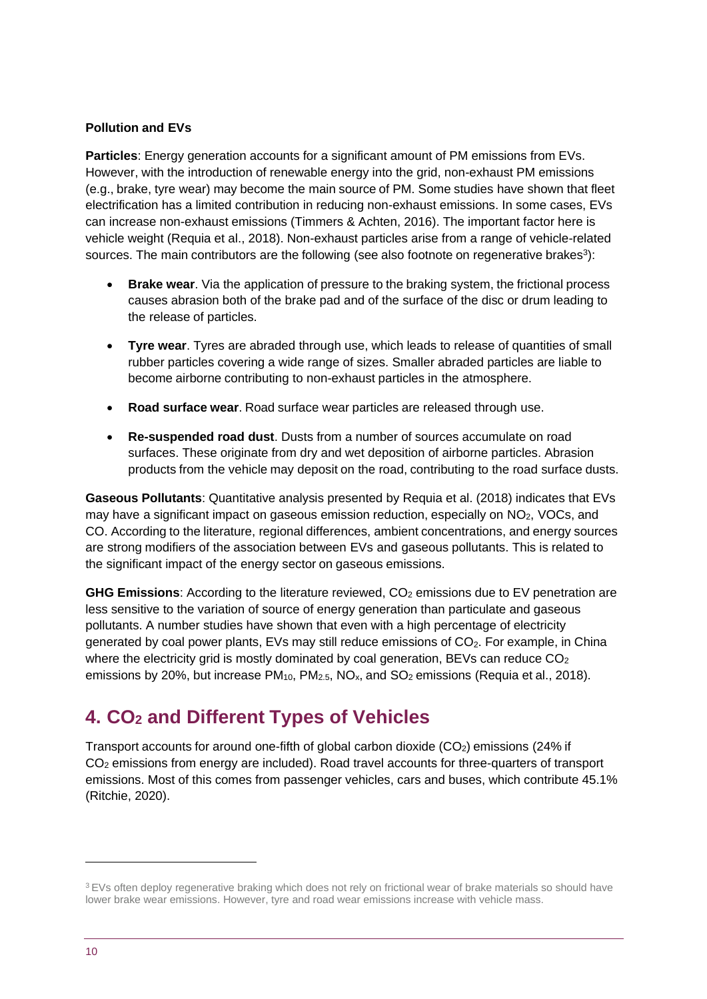#### **Pollution and EVs**

**Particles**: Energy generation accounts for a significant amount of PM emissions from EVs. However, with the introduction of renewable energy into the grid, non-exhaust PM emissions (e.g., brake, tyre wear) may become the main source of PM. Some studies have shown that fleet electrification has a limited contribution in reducing non-exhaust emissions. In some cases, EVs can increase non-exhaust emissions (Timmers & Achten, 2016). The important factor here is vehicle weight (Requia et al., 2018). Non-exhaust particles arise from a range of vehicle-related sources. The main contributors are the following (see also footnote on regenerative brakes<sup>3</sup>):

- **Brake wear**. Via the application of pressure to the braking system, the frictional process causes abrasion both of the brake pad and of the surface of the disc or drum leading to the release of particles.
- **Tyre wear**. Tyres are abraded through use, which leads to release of quantities of small rubber particles covering a wide range of sizes. Smaller abraded particles are liable to become airborne contributing to non-exhaust particles in the atmosphere.
- **Road surface wear**. Road surface wear particles are released through use.
- **Re-suspended road dust**. Dusts from a number of sources accumulate on road surfaces. These originate from dry and wet deposition of airborne particles. Abrasion products from the vehicle may deposit on the road, contributing to the road surface dusts.

**Gaseous Pollutants**: Quantitative analysis presented by Requia et al. (2018) indicates that EVs may have a significant impact on gaseous emission reduction, especially on NO2, VOCs, and CO. According to the literature, regional differences, ambient concentrations, and energy sources are strong modifiers of the association between EVs and gaseous pollutants. This is related to the significant impact of the energy sector on gaseous emissions.

**GHG Emissions:** According to the literature reviewed, CO<sub>2</sub> emissions due to EV penetration are less sensitive to the variation of source of energy generation than particulate and gaseous pollutants. A number studies have shown that even with a high percentage of electricity generated by coal power plants, EVs may still reduce emissions of CO<sub>2</sub>. For example, in China where the electricity grid is mostly dominated by coal generation, BEVs can reduce  $CO<sub>2</sub>$ emissions by 20%, but increase  $PM_{10}$ ,  $PM_{2.5}$ ,  $NO_x$ , and  $SO_2$  emissions (Requia et al., 2018).

# <span id="page-9-0"></span>**4. CO<sup>2</sup> and Different Types of Vehicles**

Transport accounts for around one-fifth of global carbon dioxide (CO2) emissions (24% if CO<sup>2</sup> emissions from energy are included). Road travel accounts for three-quarters of transport emissions. Most of this comes from passenger vehicles, cars and buses, which contribute 45.1% (Ritchie, 2020).

<sup>&</sup>lt;sup>3</sup> EVs often deploy regenerative braking which does not rely on frictional wear of brake materials so should have lower brake wear emissions. However, tyre and road wear emissions increase with vehicle mass.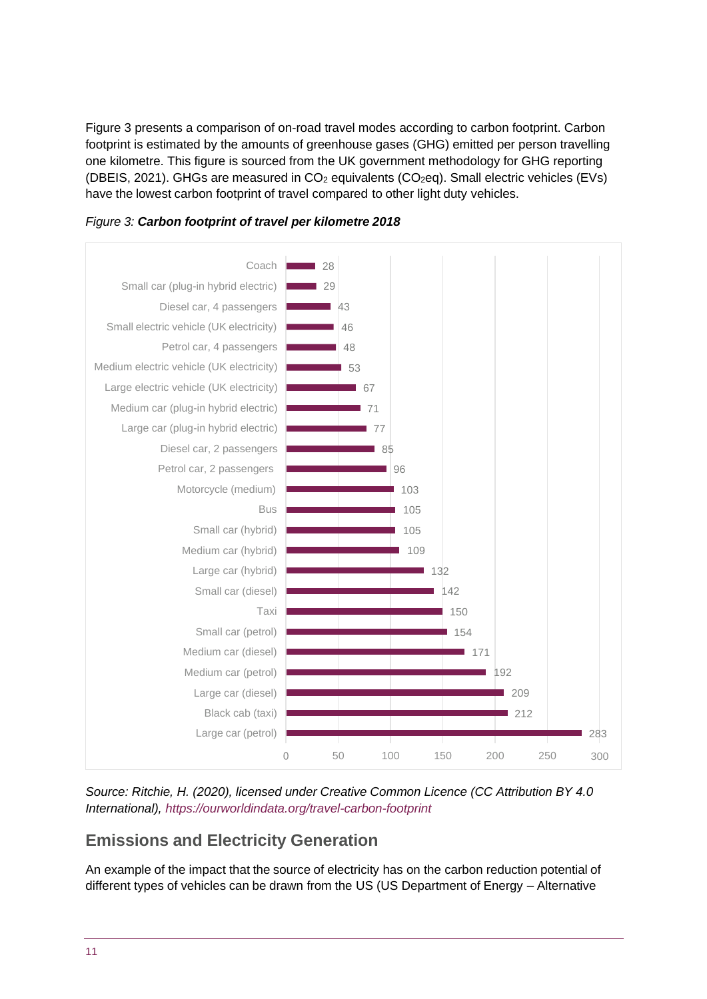Figure 3 presents a comparison of on-road travel modes according to carbon footprint. Carbon footprint is estimated by the amounts of greenhouse gases (GHG) emitted per person travelling one kilometre. This figure is sourced from the UK government methodology for GHG reporting (DBEIS, 2021). GHGs are measured in  $CO<sub>2</sub>$  equivalents ( $CO<sub>2</sub>$ eq). Small electric vehicles (EVs) have the lowest carbon footprint of travel compared to other light duty vehicles.





*Source: Ritchie, H. (2020), licensed under Creative Common Licence (CC Attribution BY 4.0 International), <https://ourworldindata.org/travel-carbon-footprint>*

# **Emissions and Electricity Generation**

An example of the impact that the source of electricity has on the carbon reduction potential of different types of vehicles can be drawn from the US (US Department of Energy – Alternative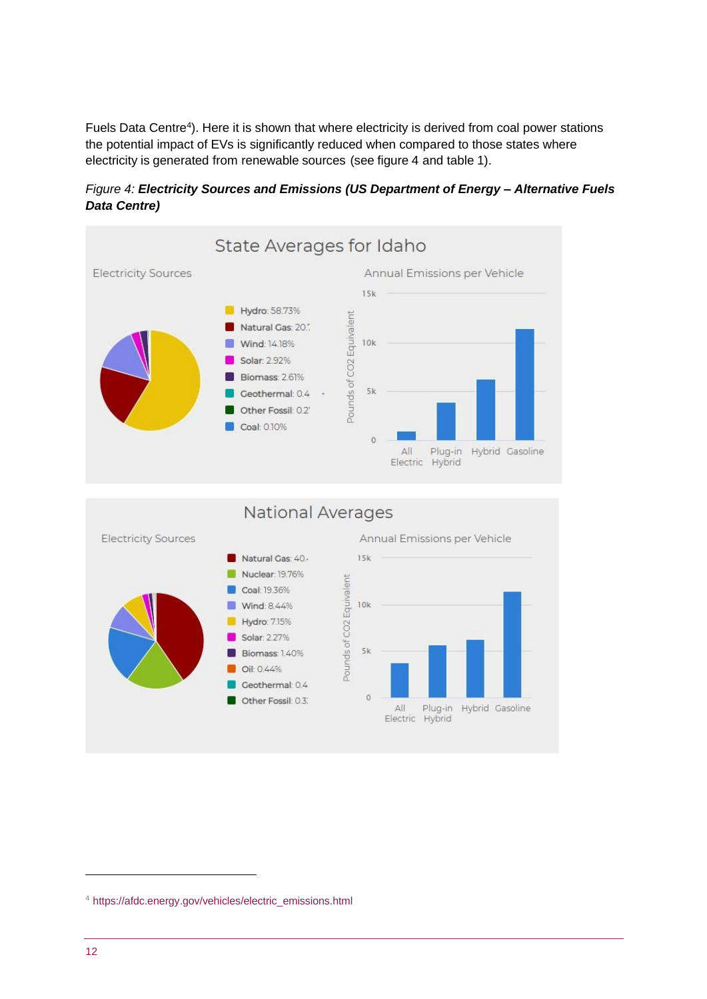Fuels Data Centre<sup>4</sup>). Here it is shown that where electricity is derived from coal power stations the potential impact of EVs is significantly reduced when compared to those states where electricity is generated from renewable sources (see figure 4 and table 1).



*Figure 4: Electricity Sources and Emissions (US Department of Energy – Alternative Fuels Data Centre)*

**National Averages** 



Annual Emissions per Vehicle



<sup>4</sup> [https://afdc.energy.gov/vehicles/electric\\_emissions.html](https://afdc.energy.gov/vehicles/electric_emissions.html)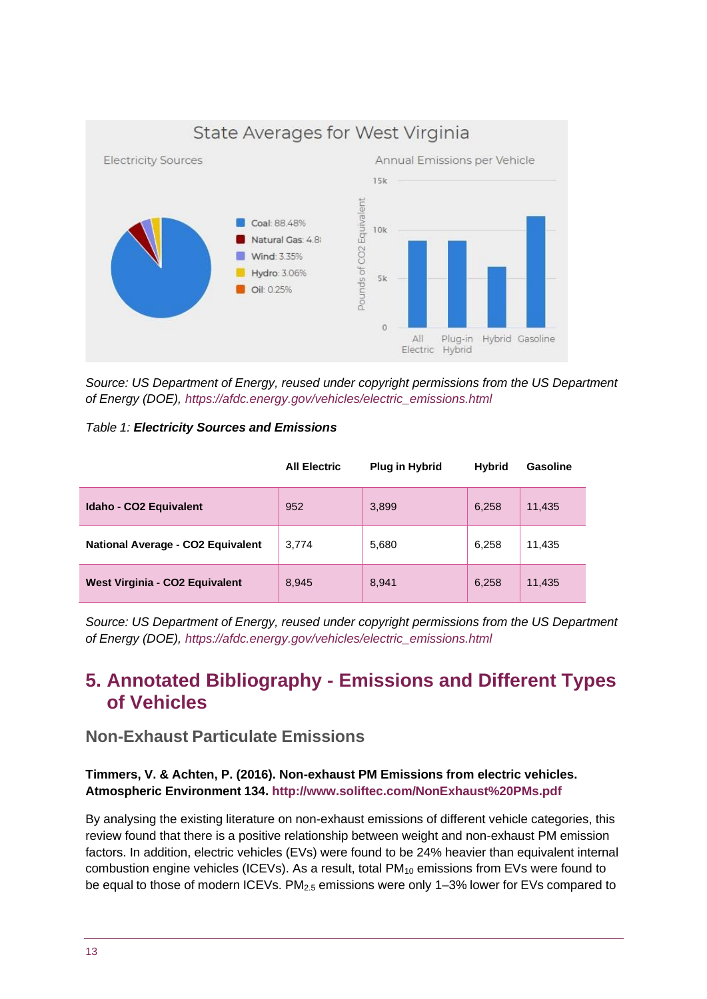

*Source: US Department of Energy, reused under copyright permissions from the US Department of Energy (DOE), [https://afdc.energy.gov/vehicles/electric\\_emissions.html](https://afdc.energy.gov/vehicles/electric_emissions.html)*

#### *Table 1: Electricity Sources and Emissions*

|                                          | <b>All Electric</b> | <b>Plug in Hybrid</b> | <b>Hybrid</b> | <b>Gasoline</b> |
|------------------------------------------|---------------------|-----------------------|---------------|-----------------|
| <b>Idaho - CO2 Equivalent</b>            | 952                 | 3,899                 | 6,258         | 11,435          |
| <b>National Average - CO2 Equivalent</b> | 3,774               | 5,680                 | 6,258         | 11,435          |
| West Virginia - CO2 Equivalent           | 8,945               | 8,941                 | 6,258         | 11,435          |

<span id="page-12-0"></span>*Source: US Department of Energy, reused under copyright permissions from the US Department of Energy (DOE), [https://afdc.energy.gov/vehicles/electric\\_emissions.html](https://afdc.energy.gov/vehicles/electric_emissions.html)*

# **5. Annotated Bibliography - Emissions and Different Types of Vehicles**

### **Non-Exhaust Particulate Emissions**

#### **Timmers, V. & Achten, P. (2016). Non-exhaust PM Emissions from electric vehicles. Atmospheric Environment 134.<http://www.soliftec.com/NonExhaust%20PMs.pdf>**

By analysing the existing literature on non-exhaust emissions of different vehicle categories, this review found that there is a positive relationship between weight and non-exhaust PM emission factors. In addition, electric vehicles (EVs) were found to be 24% heavier than equivalent internal combustion engine vehicles (ICEVs). As a result, total  $PM_{10}$  emissions from EVs were found to be equal to those of modern ICEVs. PM<sub>2.5</sub> emissions were only 1–3% lower for EVs compared to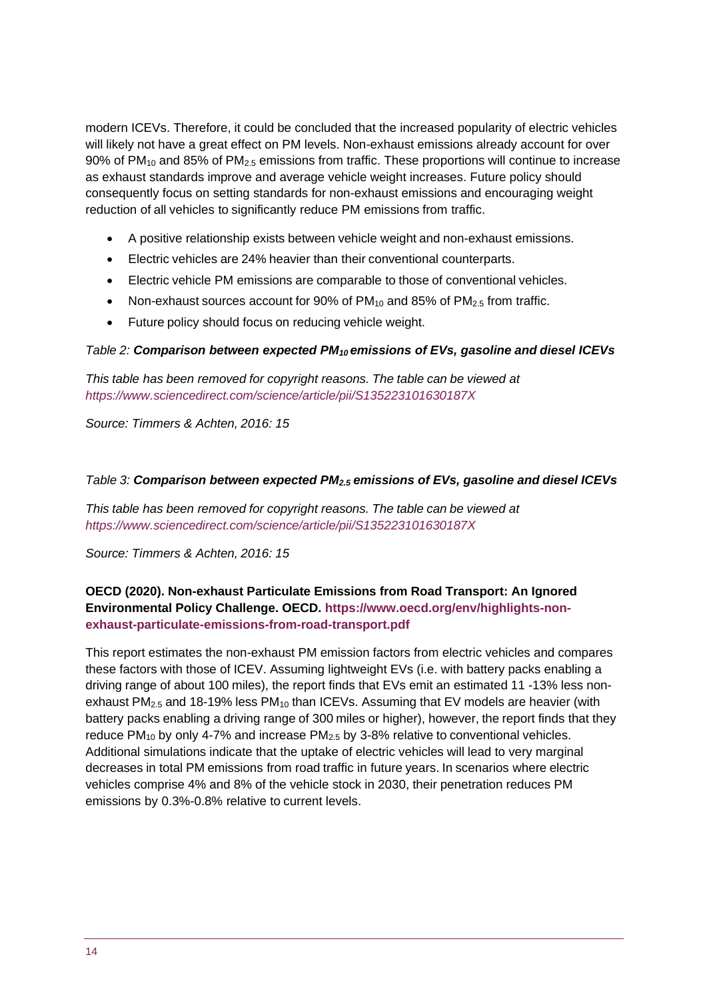modern ICEVs. Therefore, it could be concluded that the increased popularity of electric vehicles will likely not have a great effect on PM levels. Non-exhaust emissions already account for over 90% of  $PM_{10}$  and 85% of  $PM_{2.5}$  emissions from traffic. These proportions will continue to increase as exhaust standards improve and average vehicle weight increases. Future policy should consequently focus on setting standards for non-exhaust emissions and encouraging weight reduction of all vehicles to significantly reduce PM emissions from traffic.

- A positive relationship exists between vehicle weight and non-exhaust emissions.
- Electric vehicles are 24% heavier than their conventional counterparts.
- Electric vehicle PM emissions are comparable to those of conventional vehicles.
- Non-exhaust sources account for 90% of  $PM_{10}$  and 85% of  $PM_{2.5}$  from traffic.
- Future policy should focus on reducing vehicle weight.

#### *Table 2: Comparison between expected PM<sup>10</sup> emissions of EVs, gasoline and diesel ICEVs*

*This table has been removed for copyright reasons. The table can be viewed at <https://www.sciencedirect.com/science/article/pii/S135223101630187X>*

*Source: Timmers & Achten, 2016: 15*

#### *Table 3: Comparison between expected PM2.5 emissions of EVs, gasoline and diesel ICEVs*

*This table has been removed for copyright reasons. The table can be viewed at <https://www.sciencedirect.com/science/article/pii/S135223101630187X>*

*Source: Timmers & Achten, 2016: 15*

#### **OECD (2020). Non-exhaust Particulate Emissions from Road Transport: An Ignored Environmental Policy Challenge. OECD. [https://www.oecd.org/env/highlights-non](https://www.oecd.org/env/highlights-non-exhaust-particulate-emissions-from-road-transport.pdf)[exhaust-particulate-emissions-from-road-transport.pdf](https://www.oecd.org/env/highlights-non-exhaust-particulate-emissions-from-road-transport.pdf)**

This report estimates the non-exhaust PM emission factors from electric vehicles and compares these factors with those of ICEV. Assuming lightweight EVs (i.e. with battery packs enabling a driving range of about 100 miles), the report finds that EVs emit an estimated 11 -13% less nonexhaust PM<sub>2.5</sub> and 18-19% less PM<sub>10</sub> than ICEVs. Assuming that EV models are heavier (with battery packs enabling a driving range of 300 miles or higher), however, the report finds that they reduce PM<sub>10</sub> by only 4-7% and increase PM<sub>2.5</sub> by 3-8% relative to conventional vehicles. Additional simulations indicate that the uptake of electric vehicles will lead to very marginal decreases in total PM emissions from road traffic in future years. In scenarios where electric vehicles comprise 4% and 8% of the vehicle stock in 2030, their penetration reduces PM emissions by 0.3%-0.8% relative to current levels.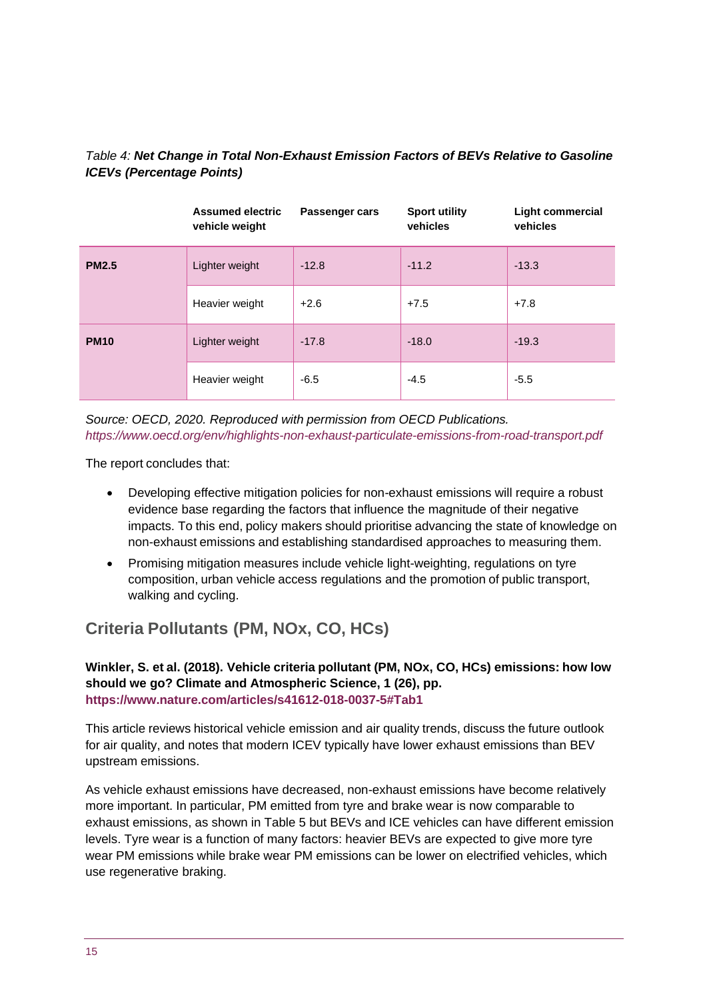#### *Table 4: Net Change in Total Non-Exhaust Emission Factors of BEVs Relative to Gasoline ICEVs (Percentage Points)*

|              | <b>Assumed electric</b><br>vehicle weight | <b>Passenger cars</b> | <b>Sport utility</b><br>vehicles | <b>Light commercial</b><br>vehicles |
|--------------|-------------------------------------------|-----------------------|----------------------------------|-------------------------------------|
| <b>PM2.5</b> | Lighter weight                            | $-12.8$               | $-11.2$                          | $-13.3$                             |
|              | Heavier weight                            | $+2.6$                | $+7.5$                           | $+7.8$                              |
| <b>PM10</b>  | Lighter weight                            | $-17.8$               | $-18.0$                          | $-19.3$                             |
|              | Heavier weight                            | $-6.5$                | $-4.5$                           | $-5.5$                              |

*Source: OECD, 2020. Reproduced with permission from OECD Publications. <https://www.oecd.org/env/highlights-non-exhaust-particulate-emissions-from-road-transport.pdf>*

The report concludes that:

- Developing effective mitigation policies for non-exhaust emissions will require a robust evidence base regarding the factors that influence the magnitude of their negative impacts. To this end, policy makers should prioritise advancing the state of knowledge on non-exhaust emissions and establishing standardised approaches to measuring them.
- Promising mitigation measures include vehicle light-weighting, regulations on tyre composition, urban vehicle access regulations and the promotion of public transport, walking and cycling.

### **Criteria Pollutants (PM, NOx, CO, HCs)**

**Winkler, S. et al. (2018). Vehicle criteria pollutant (PM, NOx, CO, HCs) emissions: how low should we go? Climate and Atmospheric Science, 1 (26), pp. <https://www.nature.com/articles/s41612-018-0037-5#Tab1>**

This article reviews historical vehicle emission and air quality trends, discuss the future outlook for air quality, and notes that modern ICEV typically have lower exhaust emissions than BEV upstream emissions.

As vehicle exhaust emissions have decreased, non-exhaust emissions have become relatively more important. In particular, PM emitted from tyre and brake wear is now comparable to exhaust emissions, as shown in Table 5 but BEVs and ICE vehicles can have different emission levels. Tyre wear is a function of many factors: heavier BEVs are expected to give more tyre wear PM emissions while brake wear PM emissions can be lower on electrified vehicles, which use regenerative braking.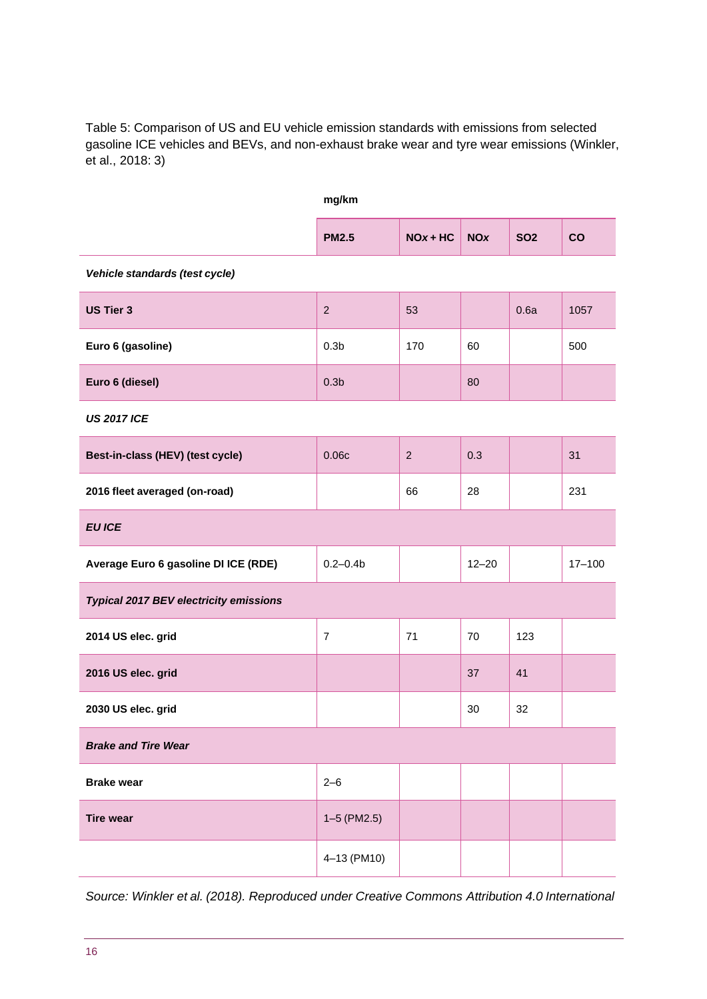Table 5: Comparison of US and EU vehicle emission standards with emissions from selected gasoline ICE vehicles and BEVs, and non-exhaust brake wear and tyre wear emissions (Winkler, et al., 2018: 3)

|                                               | mg/km            |                |            |            |            |  |  |  |
|-----------------------------------------------|------------------|----------------|------------|------------|------------|--|--|--|
|                                               | <b>PM2.5</b>     | $NOx + HC$     | <b>NOx</b> | <b>SO2</b> | CO         |  |  |  |
| Vehicle standards (test cycle)                |                  |                |            |            |            |  |  |  |
| <b>US Tier 3</b>                              | $\overline{2}$   | 53             |            | 0.6a       | 1057       |  |  |  |
| Euro 6 (gasoline)                             | 0.3 <sub>b</sub> | 170            | 60         |            | 500        |  |  |  |
| Euro 6 (diesel)                               | 0.3 <sub>b</sub> |                | 80         |            |            |  |  |  |
| <b>US 2017 ICE</b>                            |                  |                |            |            |            |  |  |  |
| Best-in-class (HEV) (test cycle)              | 0.06c            | $\overline{2}$ | 0.3        |            | 31         |  |  |  |
| 2016 fleet averaged (on-road)                 |                  | 66             | 28         |            | 231        |  |  |  |
| <b>EU ICE</b>                                 |                  |                |            |            |            |  |  |  |
| Average Euro 6 gasoline DI ICE (RDE)          | $0.2 - 0.4b$     |                | $12 - 20$  |            | $17 - 100$ |  |  |  |
| <b>Typical 2017 BEV electricity emissions</b> |                  |                |            |            |            |  |  |  |
| 2014 US elec. grid                            | $\overline{7}$   | 71             | 70         | 123        |            |  |  |  |
| 2016 US elec. grid                            |                  |                | 37         | 41         |            |  |  |  |
| 2030 US elec. grid                            |                  |                | 30         | 32         |            |  |  |  |
| <b>Brake and Tire Wear</b>                    |                  |                |            |            |            |  |  |  |
| <b>Brake wear</b>                             | $2 - 6$          |                |            |            |            |  |  |  |
| <b>Tire wear</b>                              | $1-5$ (PM2.5)    |                |            |            |            |  |  |  |
|                                               | 4-13 (PM10)      |                |            |            |            |  |  |  |

*Source: Winkler et al. (2018). Reproduced under Creative Commons Attribution 4.0 International*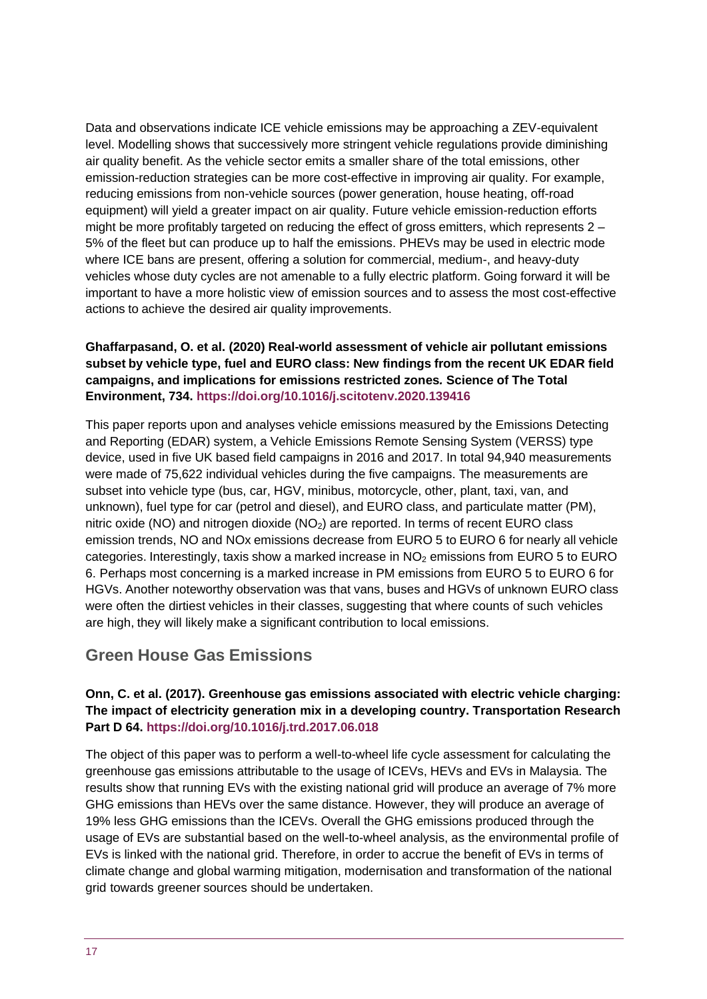Data and observations indicate ICE vehicle emissions may be approaching a ZEV-equivalent level. Modelling shows that successively more stringent vehicle regulations provide diminishing air quality benefit. As the vehicle sector emits a smaller share of the total emissions, other emission-reduction strategies can be more cost-effective in improving air quality. For example, reducing emissions from non-vehicle sources (power generation, house heating, off-road equipment) will yield a greater impact on air quality. Future vehicle emission-reduction efforts might be more profitably targeted on reducing the effect of gross emitters, which represents 2 – 5% of the fleet but can produce up to half the emissions. PHEVs may be used in electric mode where ICE bans are present, offering a solution for commercial, medium-, and heavy-duty vehicles whose duty cycles are not amenable to a fully electric platform. Going forward it will be important to have a more holistic view of emission sources and to assess the most cost-effective actions to achieve the desired air quality improvements.

#### **Ghaffarpasand, O. et al. (2020) Real-world assessment of vehicle air pollutant emissions subset by vehicle type, fuel and EURO class: New findings from the recent UK EDAR field campaigns, and implications for emissions restricted zones***.* **Science of The Total Environment, 734. <https://doi.org/10.1016/j.scitotenv.2020.139416>**

This paper reports upon and analyses vehicle emissions measured by the Emissions Detecting and Reporting (EDAR) system, a Vehicle Emissions Remote Sensing System (VERSS) type device, used in five UK based field campaigns in 2016 and 2017. In total 94,940 measurements were made of 75,622 individual vehicles during the five campaigns. The measurements are subset into vehicle type (bus, car, HGV, minibus, motorcycle, other, plant, taxi, van, and unknown), fuel type for car (petrol and diesel), and EURO class, and particulate matter (PM), nitric oxide (NO) and nitrogen dioxide  $(NO<sub>2</sub>)$  are reported. In terms of recent EURO class emission trends, NO and NOx emissions decrease from EURO 5 to EURO 6 for nearly all vehicle categories. Interestingly, taxis show a marked increase in  $NO<sub>2</sub>$  emissions from EURO 5 to EURO 6. Perhaps most concerning is a marked increase in PM emissions from EURO 5 to EURO 6 for HGVs. Another noteworthy observation was that vans, buses and HGVs of unknown EURO class were often the dirtiest vehicles in their classes, suggesting that where counts of such vehicles are high, they will likely make a significant contribution to local emissions.

### **Green House Gas Emissions**

#### **Onn, C. et al. (2017). Greenhouse gas emissions associated with electric vehicle charging: The impact of electricity generation mix in a developing country. Transportation Research Part D 64. <https://doi.org/10.1016/j.trd.2017.06.018>**

The object of this paper was to perform a well-to-wheel life cycle assessment for calculating the greenhouse gas emissions attributable to the usage of ICEVs, HEVs and EVs in Malaysia. The results show that running EVs with the existing national grid will produce an average of 7% more GHG emissions than HEVs over the same distance. However, they will produce an average of 19% less GHG emissions than the ICEVs. Overall the GHG emissions produced through the usage of EVs are substantial based on the well-to-wheel analysis, as the environmental profile of EVs is linked with the national grid. Therefore, in order to accrue the benefit of EVs in terms of climate change and global warming mitigation, modernisation and transformation of the national grid towards greener sources should be undertaken.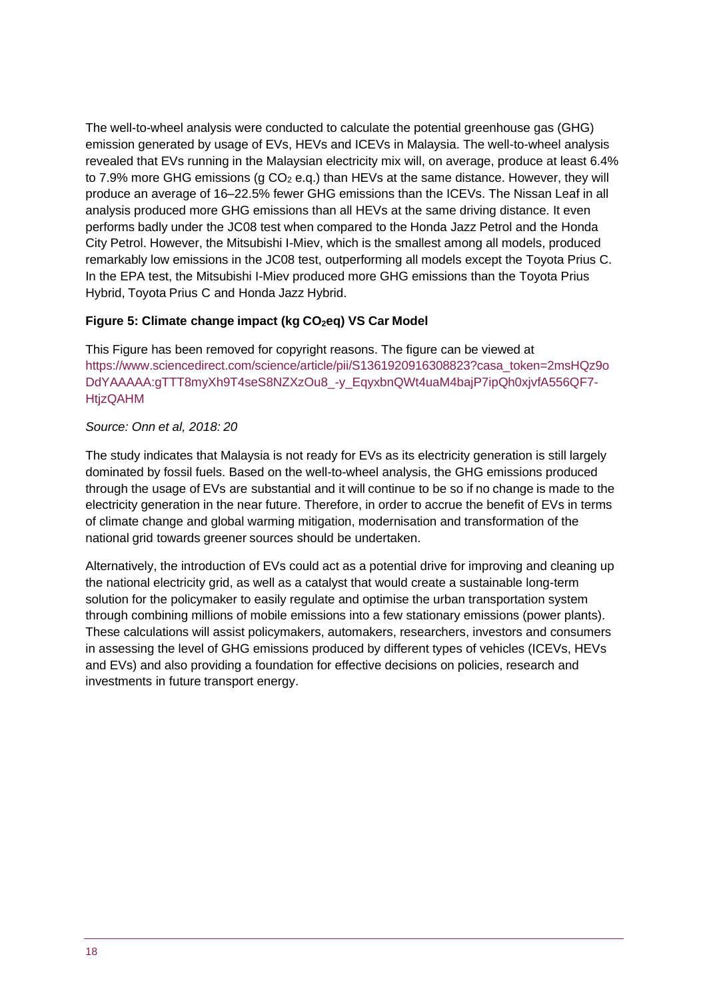The well-to-wheel analysis were conducted to calculate the potential greenhouse gas (GHG) emission generated by usage of EVs, HEVs and ICEVs in Malaysia. The well-to-wheel analysis revealed that EVs running in the Malaysian electricity mix will, on average, produce at least 6.4% to 7.9% more GHG emissions (g  $CO<sub>2</sub>$  e.q.) than HEVs at the same distance. However, they will produce an average of 16–22.5% fewer GHG emissions than the ICEVs. The Nissan Leaf in all analysis produced more GHG emissions than all HEVs at the same driving distance. It even performs badly under the JC08 test when compared to the Honda Jazz Petrol and the Honda City Petrol. However, the Mitsubishi I-Miev, which is the smallest among all models, produced remarkably low emissions in the JC08 test, outperforming all models except the Toyota Prius C. In the EPA test, the Mitsubishi I-Miev produced more GHG emissions than the Toyota Prius Hybrid, Toyota Prius C and Honda Jazz Hybrid.

#### **Figure 5: Climate change impact (kg CO2eq) VS Car Model**

This Figure has been removed for copyright reasons. The figure can be viewed at [https://www.sciencedirect.com/science/article/pii/S1361920916308823?casa\\_token=2msHQz9o](https://www.sciencedirect.com/science/article/pii/S1361920916308823?casa_token=2msHQz9oDdYAAAAA%3AgTTT8myXh9T4seS8NZXzOu8_-y_EqyxbnQWt4uaM4bajP7ipQh0xjvfA556QF7-HtjzQAHM) [DdYAAAAA:gTTT8myXh9T4seS8NZXzOu8\\_-y\\_EqyxbnQWt4uaM4bajP7ipQh0xjvfA556QF7-](https://www.sciencedirect.com/science/article/pii/S1361920916308823?casa_token=2msHQz9oDdYAAAAA%3AgTTT8myXh9T4seS8NZXzOu8_-y_EqyxbnQWt4uaM4bajP7ipQh0xjvfA556QF7-HtjzQAHM) **[HtjzQAHM](https://www.sciencedirect.com/science/article/pii/S1361920916308823?casa_token=2msHQz9oDdYAAAAA%3AgTTT8myXh9T4seS8NZXzOu8_-y_EqyxbnQWt4uaM4bajP7ipQh0xjvfA556QF7-HtjzQAHM)** 

#### *Source: Onn et al, 2018: 20*

The study indicates that Malaysia is not ready for EVs as its electricity generation is still largely dominated by fossil fuels. Based on the well-to-wheel analysis, the GHG emissions produced through the usage of EVs are substantial and it will continue to be so if no change is made to the electricity generation in the near future. Therefore, in order to accrue the benefit of EVs in terms of climate change and global warming mitigation, modernisation and transformation of the national grid towards greener sources should be undertaken.

Alternatively, the introduction of EVs could act as a potential drive for improving and cleaning up the national electricity grid, as well as a catalyst that would create a sustainable long-term solution for the policymaker to easily regulate and optimise the urban transportation system through combining millions of mobile emissions into a few stationary emissions (power plants). These calculations will assist policymakers, automakers, researchers, investors and consumers in assessing the level of GHG emissions produced by different types of vehicles (ICEVs, HEVs and EVs) and also providing a foundation for effective decisions on policies, research and investments in future transport energy.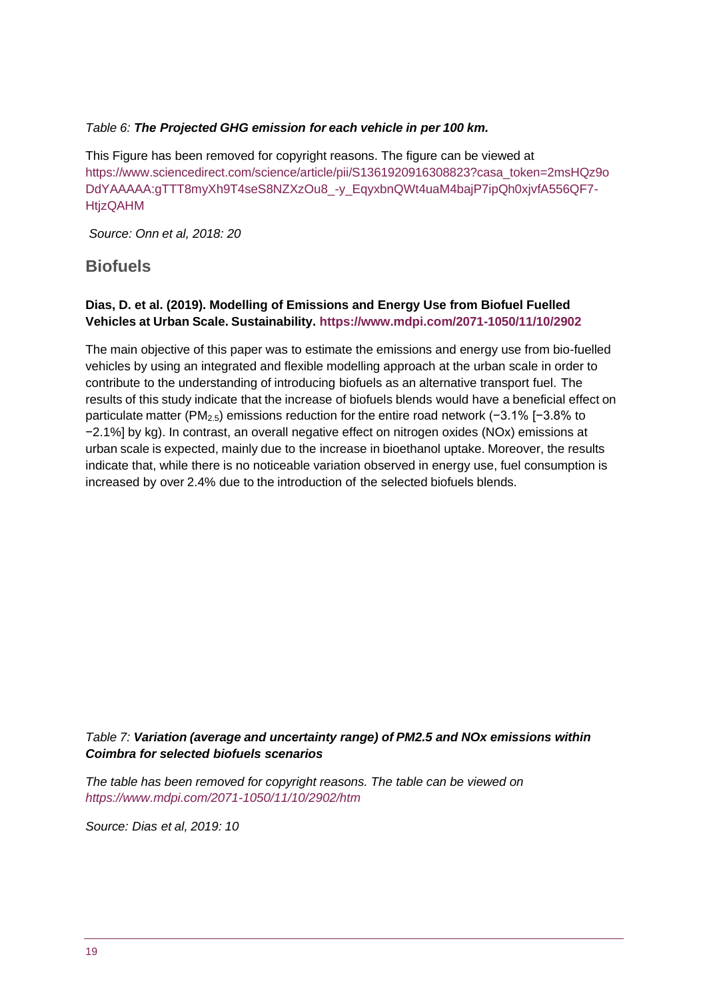#### *Table 6: The Projected GHG emission for each vehicle in per 100 km.*

This Figure has been removed for copyright reasons. The figure can be viewed at [https://www.sciencedirect.com/science/article/pii/S1361920916308823?casa\\_token=2msHQz9o](https://www.sciencedirect.com/science/article/pii/S1361920916308823?casa_token=2msHQz9oDdYAAAAA%3AgTTT8myXh9T4seS8NZXzOu8_-y_EqyxbnQWt4uaM4bajP7ipQh0xjvfA556QF7-HtjzQAHM) [DdYAAAAA:gTTT8myXh9T4seS8NZXzOu8\\_-y\\_EqyxbnQWt4uaM4bajP7ipQh0xjvfA556QF7-](https://www.sciencedirect.com/science/article/pii/S1361920916308823?casa_token=2msHQz9oDdYAAAAA%3AgTTT8myXh9T4seS8NZXzOu8_-y_EqyxbnQWt4uaM4bajP7ipQh0xjvfA556QF7-HtjzQAHM) [HtjzQAHM](https://www.sciencedirect.com/science/article/pii/S1361920916308823?casa_token=2msHQz9oDdYAAAAA%3AgTTT8myXh9T4seS8NZXzOu8_-y_EqyxbnQWt4uaM4bajP7ipQh0xjvfA556QF7-HtjzQAHM)

*Source: Onn et al, 2018: 20*

#### **Biofuels**

#### **Dias, D. et al. (2019). Modelling of Emissions and Energy Use from Biofuel Fuelled Vehicles at Urban Scale. Sustainability. <https://www.mdpi.com/2071-1050/11/10/2902>**

The main objective of this paper was to estimate the emissions and energy use from bio-fuelled vehicles by using an integrated and flexible modelling approach at the urban scale in order to contribute to the understanding of introducing biofuels as an alternative transport fuel. The results of this study indicate that the increase of biofuels blends would have a beneficial effect on particulate matter (PM2.5) emissions reduction for the entire road network (−3.1% [−3.8% to −2.1%] by kg). In contrast, an overall negative effect on nitrogen oxides (NOx) emissions at urban scale is expected, mainly due to the increase in bioethanol uptake. Moreover, the results indicate that, while there is no noticeable variation observed in energy use, fuel consumption is increased by over 2.4% due to the introduction of the selected biofuels blends.

#### *Table 7: Variation (average and uncertainty range) of PM2.5 and NOx emissions within Coimbra for selected biofuels scenarios*

*The table has been removed for copyright reasons. The table can be viewed on <https://www.mdpi.com/2071-1050/11/10/2902/htm>*

*Source: Dias et al, 2019: 10*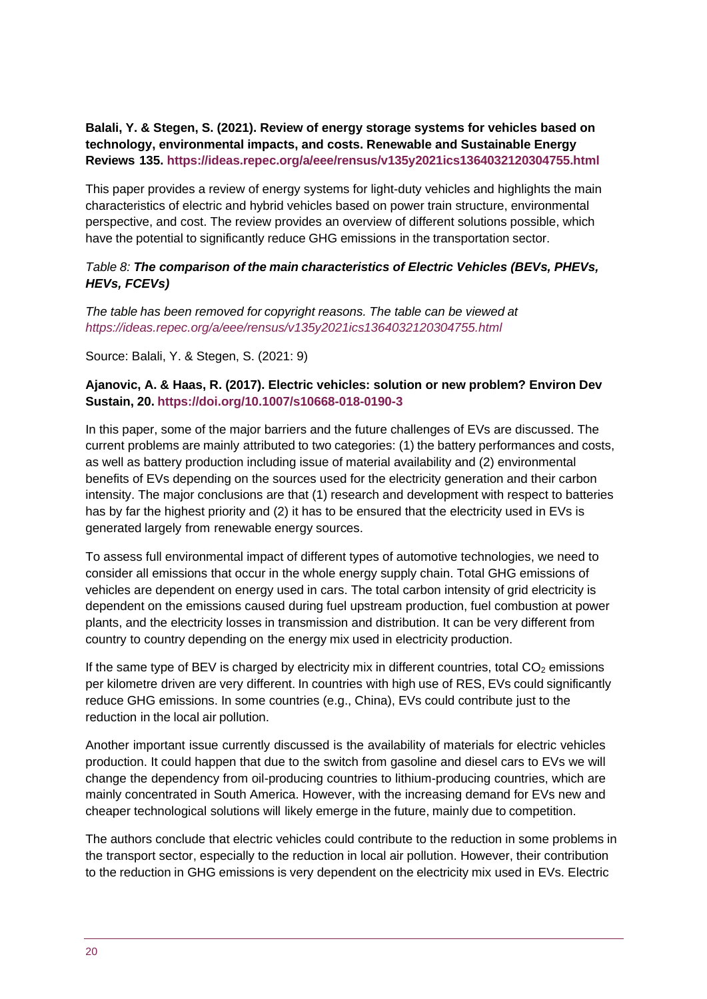**Balali, Y. & Stegen, S. (2021). Review of energy storage systems for vehicles based on technology, environmental impacts, and costs. Renewable and Sustainable Energy Reviews 135. <https://ideas.repec.org/a/eee/rensus/v135y2021ics1364032120304755.html>**

This paper provides a review of energy systems for light-duty vehicles and highlights the main characteristics of electric and hybrid vehicles based on power train structure, environmental perspective, and cost. The review provides an overview of different solutions possible, which have the potential to significantly reduce GHG emissions in the transportation sector.

#### *Table 8: The comparison of the main characteristics of Electric Vehicles (BEVs, PHEVs, HEVs, FCEVs)*

*The table has been removed for copyright reasons. The table can be viewed at <https://ideas.repec.org/a/eee/rensus/v135y2021ics1364032120304755.html>*

Source: Balali, Y. & Stegen, S. (2021: 9)

#### **Ajanovic, A. & Haas, R. (2017). Electric vehicles: solution or new problem? Environ Dev Sustain, 20. <https://doi.org/10.1007/s10668-018-0190-3>**

In this paper, some of the major barriers and the future challenges of EVs are discussed. The current problems are mainly attributed to two categories: (1) the battery performances and costs, as well as battery production including issue of material availability and (2) environmental benefits of EVs depending on the sources used for the electricity generation and their carbon intensity. The major conclusions are that (1) research and development with respect to batteries has by far the highest priority and (2) it has to be ensured that the electricity used in EVs is generated largely from renewable energy sources.

To assess full environmental impact of different types of automotive technologies, we need to consider all emissions that occur in the whole energy supply chain. Total GHG emissions of vehicles are dependent on energy used in cars. The total carbon intensity of grid electricity is dependent on the emissions caused during fuel upstream production, fuel combustion at power plants, and the electricity losses in transmission and distribution. It can be very different from country to country depending on the energy mix used in electricity production.

If the same type of BEV is charged by electricity mix in different countries, total  $CO<sub>2</sub>$  emissions per kilometre driven are very different. In countries with high use of RES, EVs could significantly reduce GHG emissions. In some countries (e.g., China), EVs could contribute just to the reduction in the local air pollution.

Another important issue currently discussed is the availability of materials for electric vehicles production. It could happen that due to the switch from gasoline and diesel cars to EVs we will change the dependency from oil-producing countries to lithium-producing countries, which are mainly concentrated in South America. However, with the increasing demand for EVs new and cheaper technological solutions will likely emerge in the future, mainly due to competition.

The authors conclude that electric vehicles could contribute to the reduction in some problems in the transport sector, especially to the reduction in local air pollution. However, their contribution to the reduction in GHG emissions is very dependent on the electricity mix used in EVs. Electric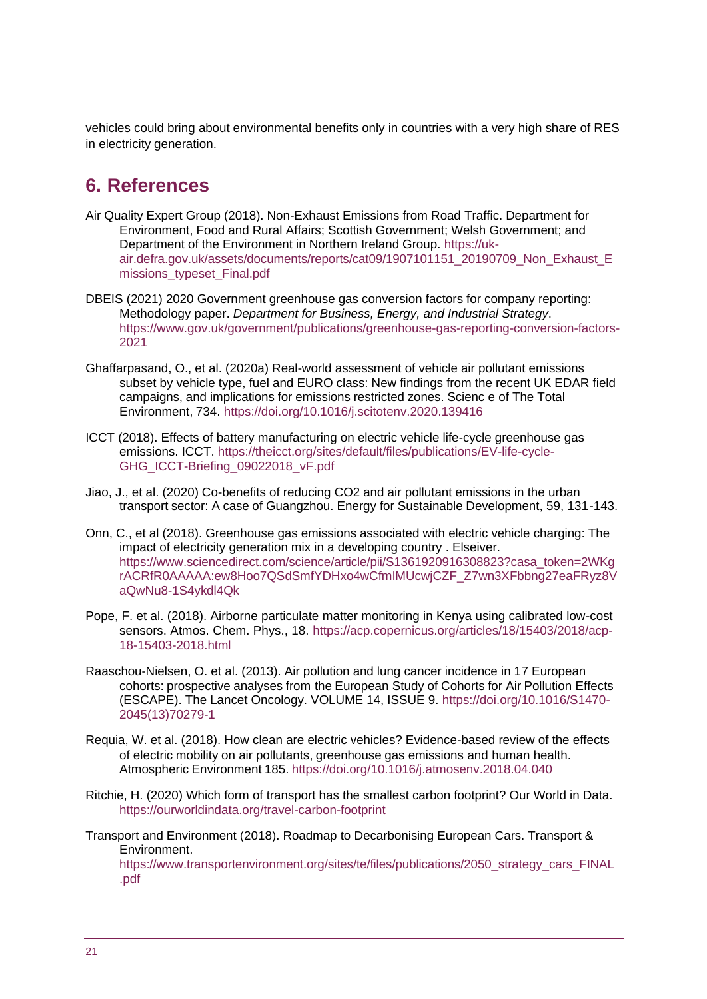vehicles could bring about environmental benefits only in countries with a very high share of RES in electricity generation.

## <span id="page-20-0"></span>**6. References**

- Air Quality Expert Group (2018). Non-Exhaust Emissions from Road Traffic. Department for Environment, Food and Rural Affairs; Scottish Government; Welsh Government; and Department of the Environment in Northern Ireland Group. [https://uk](https://uk-air.defra.gov.uk/assets/documents/reports/cat09/1907101151_20190709_Non_Exhaust_Emissions_typeset_Final.pdf)[air.defra.gov.uk/assets/documents/reports/cat09/1907101151\\_20190709\\_Non\\_Exhaust\\_E](https://uk-air.defra.gov.uk/assets/documents/reports/cat09/1907101151_20190709_Non_Exhaust_Emissions_typeset_Final.pdf) [missions\\_typeset\\_Final.pdf](https://uk-air.defra.gov.uk/assets/documents/reports/cat09/1907101151_20190709_Non_Exhaust_Emissions_typeset_Final.pdf)
- DBEIS (2021) 2020 Government greenhouse gas conversion factors for company reporting: Methodology paper. *Department for Business, Energy, and Industrial Strategy*. [https://www.gov.uk/government/publications/greenhouse-gas-reporting-conversion-factors-](https://www.gov.uk/government/publications/greenhouse-gas-reporting-conversion-factors-2021)[2021](https://www.gov.uk/government/publications/greenhouse-gas-reporting-conversion-factors-2021)
- Ghaffarpasand, O., et al. (2020a) Real-world assessment of vehicle air pollutant emissions subset by vehicle type, fuel and EURO class: New findings from the recent UK EDAR field campaigns, and implications for emissions restricted zones. Scienc e of The Total Environment, 734. <https://doi.org/10.1016/j.scitotenv.2020.139416>
- ICCT (2018). Effects of battery manufacturing on electric vehicle life-cycle greenhouse gas emissions. ICCT. [https://theicct.org/sites/default/files/publications/EV-life-cycle-](https://theicct.org/sites/default/files/publications/EV-life-cycle-GHG_ICCT-Briefing_09022018_vF.pdf)[GHG\\_ICCT-Briefing\\_09022018\\_vF.pdf](https://theicct.org/sites/default/files/publications/EV-life-cycle-GHG_ICCT-Briefing_09022018_vF.pdf)
- Jiao, J., et al. (2020) Co-benefits of reducing CO2 and air pollutant emissions in the urban transport sector: A case of Guangzhou. Energy for Sustainable Development, 59, 131-143.
- Onn, C., et al (2018). Greenhouse gas emissions associated with electric vehicle charging: The impact of electricity generation mix in a developing country . Elseiver. [https://www.sciencedirect.com/science/article/pii/S1361920916308823?casa\\_token=2WKg](https://www.sciencedirect.com/science/article/pii/S1361920916308823?casa_token=2WKgrACRfR0AAAAA%3Aew8Hoo7QSdSmfYDHxo4wCfmIMUcwjCZF_Z7wn3XFbbng27eaFRyz8VaQwNu8-1S4ykdl4Qk) [rACRfR0AAAAA:ew8Hoo7QSdSmfYDHxo4wCfmIMUcwjCZF\\_Z7wn3XFbbng27eaFRyz8V](https://www.sciencedirect.com/science/article/pii/S1361920916308823?casa_token=2WKgrACRfR0AAAAA%3Aew8Hoo7QSdSmfYDHxo4wCfmIMUcwjCZF_Z7wn3XFbbng27eaFRyz8VaQwNu8-1S4ykdl4Qk) [aQwNu8-1S4ykdl4Qk](https://www.sciencedirect.com/science/article/pii/S1361920916308823?casa_token=2WKgrACRfR0AAAAA%3Aew8Hoo7QSdSmfYDHxo4wCfmIMUcwjCZF_Z7wn3XFbbng27eaFRyz8VaQwNu8-1S4ykdl4Qk)
- Pope, F. et al. (2018). Airborne particulate matter monitoring in Kenya using calibrated low-cost sensors. Atmos. Chem. Phys., 18. [https://acp.copernicus.org/articles/18/15403/2018/acp-](https://acp.copernicus.org/articles/18/15403/2018/acp-18-15403-2018.html)[18-15403-2018.html](https://acp.copernicus.org/articles/18/15403/2018/acp-18-15403-2018.html)
- Raaschou-Nielsen, O. et al. (2013). Air pollution and lung cancer incidence in 17 European cohorts: prospective analyses from the European Study of Cohorts for Air Pollution Effects (ESCAPE). The Lancet Oncology. VOLUME 14, ISSUE 9. [https://doi.org/10.1016/S1470-](https://doi.org/10.1016/S1470-2045(13)70279-1) [2045\(13\)70279-1](https://doi.org/10.1016/S1470-2045(13)70279-1)
- Requia, W. et al. (2018). How clean are electric vehicles? Evidence-based review of the effects of electric mobility on air pollutants, greenhouse gas emissions and human health. Atmospheric Environment 185. <https://doi.org/10.1016/j.atmosenv.2018.04.040>
- Ritchie, H. (2020) Which form of transport has the smallest carbon footprint? Our World in Data. <https://ourworldindata.org/travel-carbon-footprint>
- Transport and Environment (2018). Roadmap to Decarbonising European Cars. Transport & Environment. [https://www.transportenvironment.org/sites/te/files/publications/2050\\_strategy\\_cars\\_FINAL](https://www.transportenvironment.org/sites/te/files/publications/2050_strategy_cars_FINAL.pdf)

[.pdf](https://www.transportenvironment.org/sites/te/files/publications/2050_strategy_cars_FINAL.pdf)